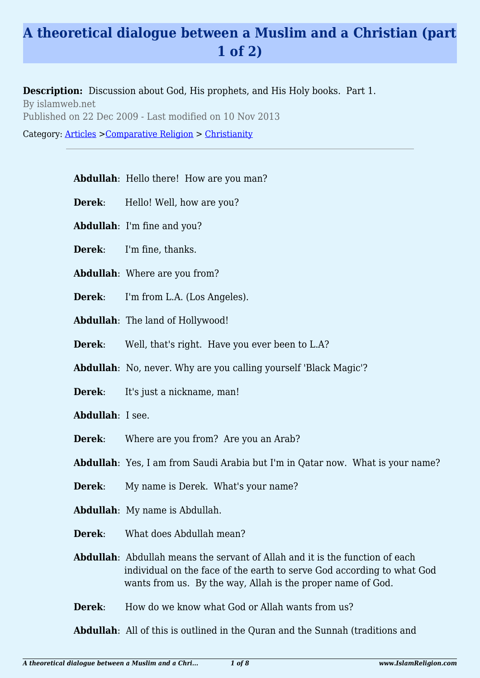## **A theoretical dialogue between a Muslim and a Christian (part 1 of 2)**

**Description:** Discussion about God, His prophets, and His Holy books. Part 1.

By islamweb.net Published on 22 Dec 2009 - Last modified on 10 Nov 2013

Category: [Articles](http://www.islamreligion.com/articles/) >[Comparative Religion](http://www.islamreligion.com/category/68/) > [Christianity](http://www.islamreligion.com/category/71/)

## **Abdullah**: Hello there! How are you man?

- **Derek:** Hello! Well, how are you?
- **Abdullah**: I'm fine and you?
- **Derek**: I'm fine, thanks.
- **Abdullah**: Where are you from?
- **Derek**: I'm from L.A. (Los Angeles).
- **Abdullah**: The land of Hollywood!
- **Derek**: Well, that's right. Have you ever been to L.A?
- **Abdullah**: No, never. Why are you calling yourself 'Black Magic'?
- **Derek:** It's just a nickname, man!
- **Abdullah**: I see.
- **Derek**: Where are you from? Are you an Arab?
- **Abdullah**: Yes, I am from Saudi Arabia but I'm in Qatar now. What is your name?
- **Derek:** My name is Derek. What's your name?
- **Abdullah**: My name is Abdullah.
- **Derek**: What does Abdullah mean?
- **Abdullah**: Abdullah means the servant of Allah and it is the function of each individual on the face of the earth to serve God according to what God wants from us. By the way, Allah is the proper name of God.
- **Derek:** How do we know what God or Allah wants from us?

**Abdullah**: All of this is outlined in the Quran and the Sunnah (traditions and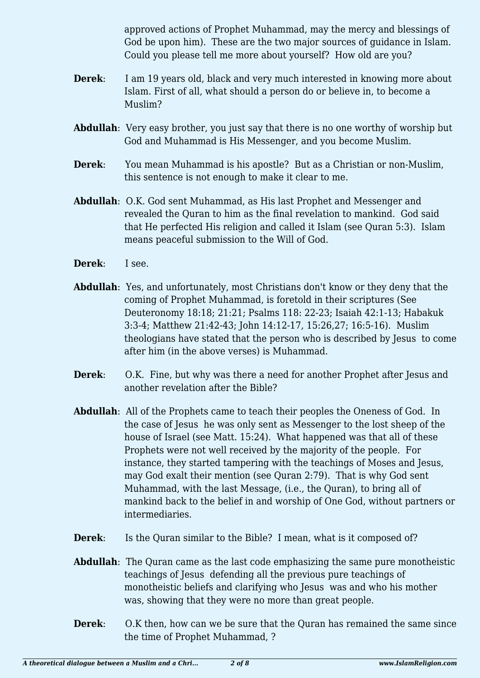approved actions of Prophet Muhammad, may the mercy and blessings of God be upon him). These are the two major sources of guidance in Islam. Could you please tell me more about yourself? How old are you?

- **Derek:** I am 19 years old, black and very much interested in knowing more about Islam. First of all, what should a person do or believe in, to become a Muslim?
- **Abdullah**: Very easy brother, you just say that there is no one worthy of worship but God and Muhammad is His Messenger, and you become Muslim.
- **Derek**: You mean Muhammad is his apostle? But as a Christian or non-Muslim, this sentence is not enough to make it clear to me.
- **Abdullah**: O.K. God sent Muhammad, as His last Prophet and Messenger and revealed the Quran to him as the final revelation to mankind. God said that He perfected His religion and called it Islam (see Quran 5:3). Islam means peaceful submission to the Will of God.
- **Derek**: I see.
- **Abdullah**: Yes, and unfortunately, most Christians don't know or they deny that the coming of Prophet Muhammad, is foretold in their scriptures (See Deuteronomy 18:18; 21:21; Psalms 118: 22-23; Isaiah 42:1-13; Habakuk 3:3-4; Matthew 21:42-43; John 14:12-17, 15:26,27; 16:5-16). Muslim theologians have stated that the person who is described by Jesus to come after him (in the above verses) is Muhammad.
- **Derek**: O.K. Fine, but why was there a need for another Prophet after Jesus and another revelation after the Bible?
- **Abdullah**: All of the Prophets came to teach their peoples the Oneness of God. In the case of Jesus he was only sent as Messenger to the lost sheep of the house of Israel (see Matt. 15:24). What happened was that all of these Prophets were not well received by the majority of the people. For instance, they started tampering with the teachings of Moses and Jesus, may God exalt their mention (see Quran 2:79). That is why God sent Muhammad, with the last Message, (i.e., the Quran), to bring all of mankind back to the belief in and worship of One God, without partners or intermediaries.
- **Derek:** Is the Quran similar to the Bible? I mean, what is it composed of?
- **Abdullah**: The Quran came as the last code emphasizing the same pure monotheistic teachings of Jesus defending all the previous pure teachings of monotheistic beliefs and clarifying who Jesus was and who his mother was, showing that they were no more than great people.
- **Derek:** O.K then, how can we be sure that the Quran has remained the same since the time of Prophet Muhammad, ?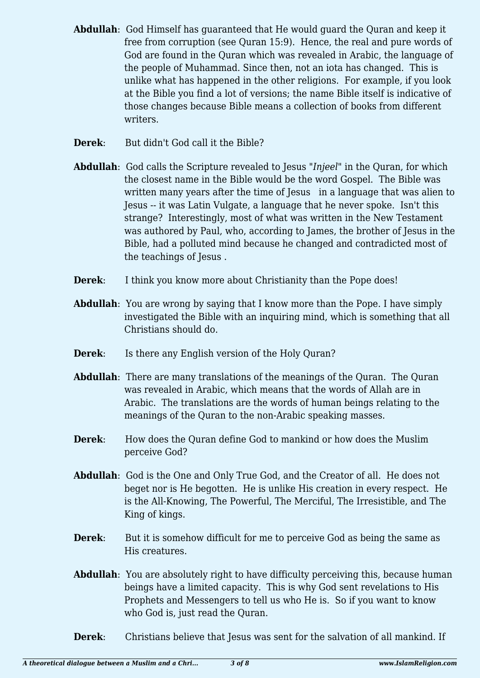- **Abdullah**: God Himself has guaranteed that He would guard the Quran and keep it free from corruption (see Quran 15:9). Hence, the real and pure words of God are found in the Quran which was revealed in Arabic, the language of the people of Muhammad. Since then, not an iota has changed. This is unlike what has happened in the other religions. For example, if you look at the Bible you find a lot of versions; the name Bible itself is indicative of those changes because Bible means a collection of books from different writers.
- **Derek**: But didn't God call it the Bible?
- **Abdullah**: God calls the Scripture revealed to Jesus "*Injeel*" in the Quran, for which the closest name in the Bible would be the word Gospel. The Bible was written many years after the time of Jesus in a language that was alien to Jesus -- it was Latin Vulgate, a language that he never spoke. Isn't this strange? Interestingly, most of what was written in the New Testament was authored by Paul, who, according to James, the brother of Jesus in the Bible, had a polluted mind because he changed and contradicted most of the teachings of Jesus .
- **Derek:** I think you know more about Christianity than the Pope does!
- **Abdullah**: You are wrong by saying that I know more than the Pope. I have simply investigated the Bible with an inquiring mind, which is something that all Christians should do.
- **Derek:** Is there any English version of the Holy Quran?
- Abdullah: There are many translations of the meanings of the Ouran. The Ouran was revealed in Arabic, which means that the words of Allah are in Arabic. The translations are the words of human beings relating to the meanings of the Quran to the non-Arabic speaking masses.
- **Derek:** How does the Quran define God to mankind or how does the Muslim perceive God?
- **Abdullah**: God is the One and Only True God, and the Creator of all. He does not beget nor is He begotten. He is unlike His creation in every respect. He is the All-Knowing, The Powerful, The Merciful, The Irresistible, and The King of kings.
- **Derek:** But it is somehow difficult for me to perceive God as being the same as His creatures.
- **Abdullah**: You are absolutely right to have difficulty perceiving this, because human beings have a limited capacity. This is why God sent revelations to His Prophets and Messengers to tell us who He is. So if you want to know who God is, just read the Quran.
- **Derek**: Christians believe that Jesus was sent for the salvation of all mankind. If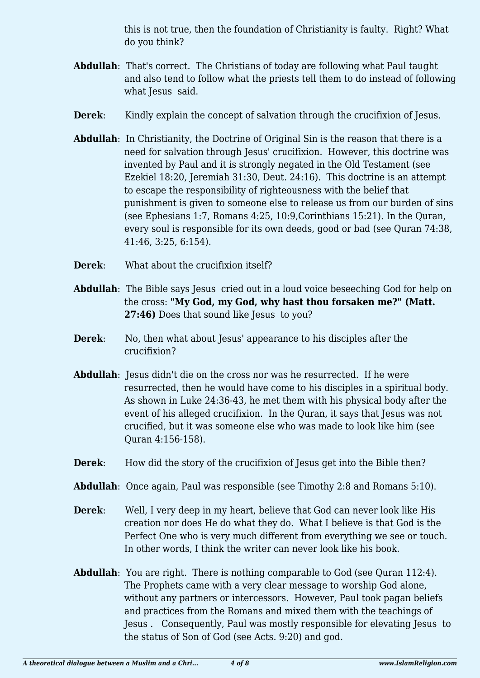this is not true, then the foundation of Christianity is faulty. Right? What do you think?

- **Abdullah**: That's correct. The Christians of today are following what Paul taught and also tend to follow what the priests tell them to do instead of following what Jesus said.
- **Derek:** Kindly explain the concept of salvation through the crucifixion of Jesus.
- **Abdullah**: In Christianity, the Doctrine of Original Sin is the reason that there is a need for salvation through Jesus' crucifixion. However, this doctrine was invented by Paul and it is strongly negated in the Old Testament (see Ezekiel 18:20, Jeremiah 31:30, Deut. 24:16). This doctrine is an attempt to escape the responsibility of righteousness with the belief that punishment is given to someone else to release us from our burden of sins (see Ephesians 1:7, Romans 4:25, 10:9,Corinthians 15:21). In the Quran, every soul is responsible for its own deeds, good or bad (see Quran 74:38, 41:46, 3:25, 6:154).
- **Derek**: What about the crucifixion itself?
- **Abdullah**: The Bible says Jesus cried out in a loud voice beseeching God for help on the cross: **"My God, my God, why hast thou forsaken me?" (Matt. 27:46)** Does that sound like Jesus to you?
- **Derek:** No, then what about Jesus' appearance to his disciples after the crucifixion?
- **Abdullah**: Jesus didn't die on the cross nor was he resurrected. If he were resurrected, then he would have come to his disciples in a spiritual body. As shown in Luke 24:36-43, he met them with his physical body after the event of his alleged crucifixion. In the Quran, it says that Jesus was not crucified, but it was someone else who was made to look like him (see Quran 4:156-158).
- **Derek:** How did the story of the crucifixion of Jesus get into the Bible then?
- **Abdullah**: Once again, Paul was responsible (see Timothy 2:8 and Romans 5:10).
- **Derek**: Well, I very deep in my heart, believe that God can never look like His creation nor does He do what they do. What I believe is that God is the Perfect One who is very much different from everything we see or touch. In other words, I think the writer can never look like his book.
- **Abdullah**: You are right. There is nothing comparable to God (see Ouran 112:4). The Prophets came with a very clear message to worship God alone, without any partners or intercessors. However, Paul took pagan beliefs and practices from the Romans and mixed them with the teachings of Jesus . Consequently, Paul was mostly responsible for elevating Jesus to the status of Son of God (see Acts. 9:20) and god.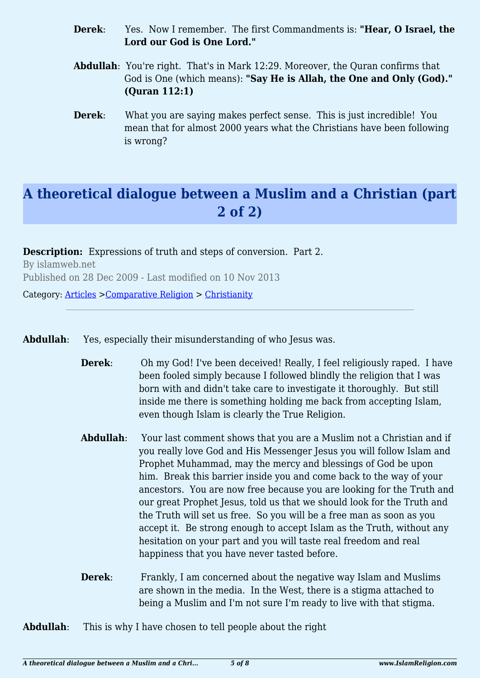- **Derek**: Yes. Now I remember. The first Commandments is: **"Hear, O Israel, the Lord our God is One Lord."**
- **Abdullah**: You're right. That's in Mark 12:29. Moreover, the Quran confirms that God is One (which means): **"Say He is Allah, the One and Only (God)." (Quran 112:1)**
- **Derek:** What you are saying makes perfect sense. This is just incredible! You mean that for almost 2000 years what the Christians have been following is wrong?

## **A theoretical dialogue between a Muslim and a Christian (part 2 of 2)**

**Description:** Expressions of truth and steps of conversion. Part 2. By islamweb.net Published on 28 Dec 2009 - Last modified on 10 Nov 2013

Category: [Articles](http://www.islamreligion.com/articles/) >[Comparative Religion](http://www.islamreligion.com/category/68/) > [Christianity](http://www.islamreligion.com/category/71/)

**Abdullah**: Yes, especially their misunderstanding of who Jesus was.

- **Derek:** Oh my God! I've been deceived! Really, I feel religiously raped. I have been fooled simply because I followed blindly the religion that I was born with and didn't take care to investigate it thoroughly. But still inside me there is something holding me back from accepting Islam, even though Islam is clearly the True Religion.
- **Abdullah**: Your last comment shows that you are a Muslim not a Christian and if you really love God and His Messenger Jesus you will follow Islam and Prophet Muhammad, may the mercy and blessings of God be upon him. Break this barrier inside you and come back to the way of your ancestors. You are now free because you are looking for the Truth and our great Prophet Jesus, told us that we should look for the Truth and the Truth will set us free. So you will be a free man as soon as you accept it. Be strong enough to accept Islam as the Truth, without any hesitation on your part and you will taste real freedom and real happiness that you have never tasted before.
- **Derek:** Frankly, I am concerned about the negative way Islam and Muslims are shown in the media. In the West, there is a stigma attached to being a Muslim and I'm not sure I'm ready to live with that stigma.

**Abdullah**: This is why I have chosen to tell people about the right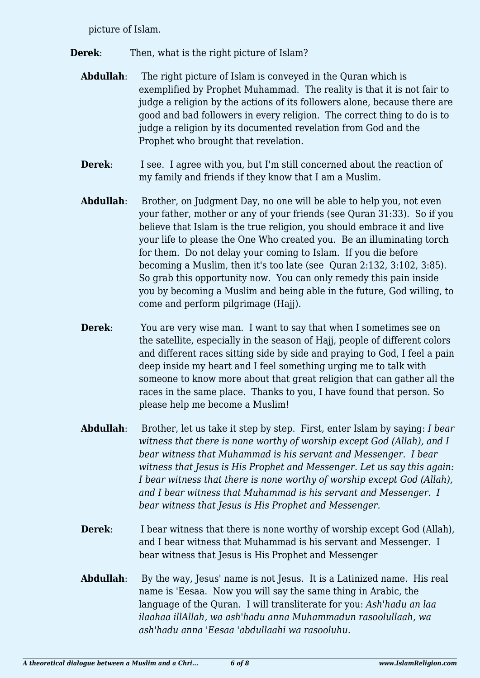picture of Islam.

- **Derek:** Then, what is the right picture of Islam?
	- **Abdullah**: The right picture of Islam is conveyed in the Ouran which is exemplified by Prophet Muhammad. The reality is that it is not fair to judge a religion by the actions of its followers alone, because there are good and bad followers in every religion. The correct thing to do is to judge a religion by its documented revelation from God and the Prophet who brought that revelation.
	- **Derek:** I see. I agree with you, but I'm still concerned about the reaction of my family and friends if they know that I am a Muslim.
	- **Abdullah**: Brother, on Judgment Day, no one will be able to help you, not even your father, mother or any of your friends (see Quran 31:33). So if you believe that Islam is the true religion, you should embrace it and live your life to please the One Who created you. Be an illuminating torch for them. Do not delay your coming to Islam. If you die before becoming a Muslim, then it's too late (see Quran 2:132, 3:102, 3:85). So grab this opportunity now. You can only remedy this pain inside you by becoming a Muslim and being able in the future, God willing, to come and perform pilgrimage (Hajj).
	- **Derek:** You are very wise man. I want to say that when I sometimes see on the satellite, especially in the season of Hajj, people of different colors and different races sitting side by side and praying to God, I feel a pain deep inside my heart and I feel something urging me to talk with someone to know more about that great religion that can gather all the races in the same place. Thanks to you, I have found that person. So please help me become a Muslim!
	- **Abdullah**: Brother, let us take it step by step. First, enter Islam by saying: *I bear witness that there is none worthy of worship except God (Allah), and I bear witness that Muhammad is his servant and Messenger. I bear witness that Jesus is His Prophet and Messenger. Let us say this again: I bear witness that there is none worthy of worship except God (Allah), and I bear witness that Muhammad is his servant and Messenger. I bear witness that Jesus is His Prophet and Messenger.*
	- **Derek:** I bear witness that there is none worthy of worship except God (Allah), and I bear witness that Muhammad is his servant and Messenger. I bear witness that Jesus is His Prophet and Messenger
	- **Abdullah**: By the way, Jesus' name is not Jesus. It is a Latinized name. His real name is 'Eesaa. Now you will say the same thing in Arabic, the language of the Quran. I will transliterate for you: *Ash'hadu an laa ilaahaa illAllah, wa ash'hadu anna Muhammadun rasoolullaah, wa ash'hadu anna 'Eesaa 'abdullaahi wa rasooluhu.*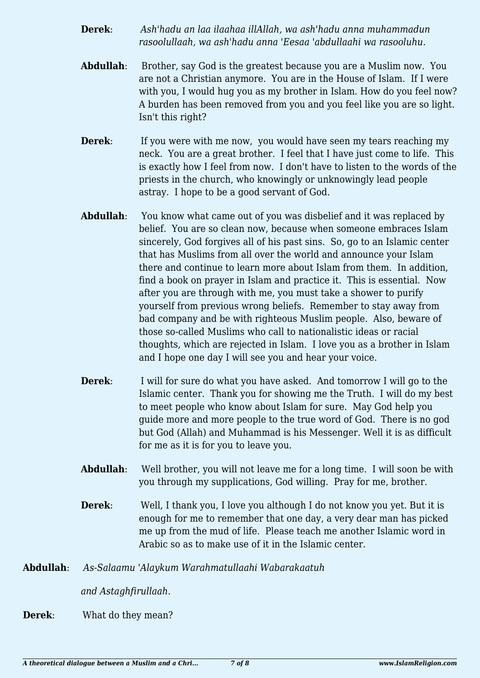- **Derek**: *Ash'hadu an laa ilaahaa illAllah, wa ash'hadu anna muhammadun rasoolullaah, wa ash'hadu anna 'Eesaa 'abdullaahi wa rasooluhu.*
- **Abdullah**: Brother, say God is the greatest because you are a Muslim now. You are not a Christian anymore. You are in the House of Islam. If I were with you, I would hug you as my brother in Islam. How do you feel now? A burden has been removed from you and you feel like you are so light. Isn't this right?
- **Derek:** If you were with me now, you would have seen my tears reaching my neck. You are a great brother. I feel that I have just come to life. This is exactly how I feel from now. I don't have to listen to the words of the priests in the church, who knowingly or unknowingly lead people astray. I hope to be a good servant of God.
- **Abdullah**: You know what came out of you was disbelief and it was replaced by belief. You are so clean now, because when someone embraces Islam sincerely, God forgives all of his past sins. So, go to an Islamic center that has Muslims from all over the world and announce your Islam there and continue to learn more about Islam from them. In addition, find a book on prayer in Islam and practice it. This is essential. Now after you are through with me, you must take a shower to purify yourself from previous wrong beliefs. Remember to stay away from bad company and be with righteous Muslim people. Also, beware of those so-called Muslims who call to nationalistic ideas or racial thoughts, which are rejected in Islam. I love you as a brother in Islam and I hope one day I will see you and hear your voice.
- **Derek:** I will for sure do what you have asked. And tomorrow I will go to the Islamic center. Thank you for showing me the Truth. I will do my best to meet people who know about Islam for sure. May God help you guide more and more people to the true word of God. There is no god but God (Allah) and Muhammad is his Messenger. Well it is as difficult for me as it is for you to leave you.
- **Abdullah**: Well brother, you will not leave me for a long time. I will soon be with you through my supplications, God willing. Pray for me, brother.
- **Derek:** Well, I thank you, I love you although I do not know you yet. But it is enough for me to remember that one day, a very dear man has picked me up from the mud of life. Please teach me another Islamic word in Arabic so as to make use of it in the Islamic center.
- **Abdullah**: *As-Salaamu 'Alaykum Warahmatullaahi Wabarakaatuh*

*and Astaghfirullaah*.

**Derek**: What do they mean?